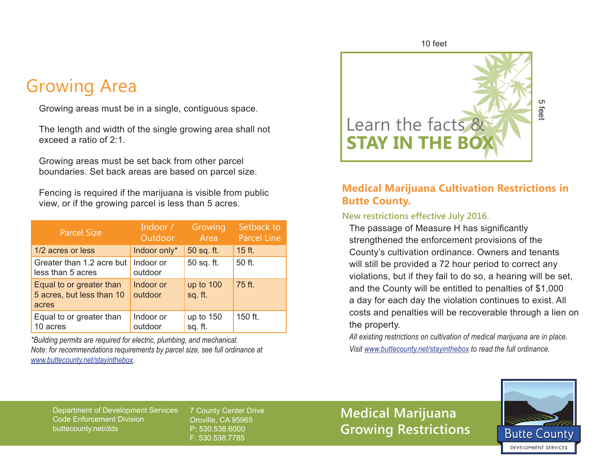## Growing Area

Growing areas must be in a single, contiguous space.

The length and width of the single growing area shall not exceed a ratio of 2:1.

Growing areas must be set back from other parcel boundaries. Set back areas are based on parcel size.

Fencing is required if the marijuana is visible from public view, or if the growing parcel is less than 5 acres.

| <b>Parcel Size</b>                                             | Indoor /<br>Outdoor  | Growing<br>Area      | Setback to<br><b>Parcel Line</b> |
|----------------------------------------------------------------|----------------------|----------------------|----------------------------------|
| 1/2 acres or less                                              | Indoor only*         | 50 sq. ft.           | 15 ft.                           |
| Greater than 1.2 acre but<br>less than 5 acres                 | Indoor or<br>outdoor | 50 sq. ft.           | 50 ft.                           |
| Equal to or greater than<br>5 acres, but less than 10<br>acres | Indoor or<br>outdoor | up to 100<br>sq. ft. | 75 ft.                           |
| Equal to or greater than<br>10 acres                           | Indoor or<br>outdoor | up to 150<br>sq. ft. | 150 ft.                          |

*\*Building permits are required for electric, plumbing, and mechanical. Note: for recommendations requirements by parcel size, see full ordinance at www.buttecounty.net/stayinthebox.*



### **Medical Marijuana Cultivation Restrictions in Butte County.**

#### **New restrictions effective July 2016.**

The passage of Measure H has significantly strengthened the enforcement provisions of the County's cultivation ordinance. Owners and tenants will still be provided a 72 hour period to correct any violations, but if they fail to do so, a hearing will be set, and the County will be entitled to penalties of \$1,000 a day for each day the violation continues to exist. All costs and penalties will be recoverable through a lien on the property. **Visit www.buttecounty.net/stayinthebox to read the full ordinance.**<br> **Visit www.buttecounty.**<br> **Visit www.butterfull or an interpretion of the full ordinance.** Owners and tenance will still be provided a 72 hour period to

*All existing restrictions on cultivation of medical marijuana are in place.*

Department of Development Services Code Enforcement Division buttecounty.net/dds

7 County Center Drive Oroville, CA 95965 P: 530.538.6000 F: 530.538.7785

**Medical Marijuana Growing Restrictions**